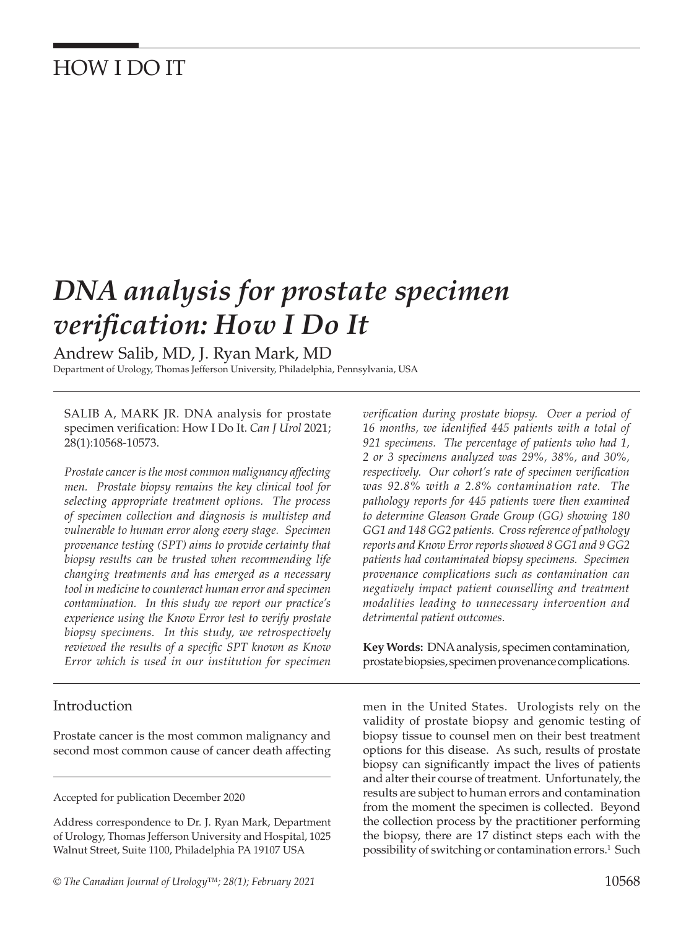## HOW I DO IT

# *DNA analysis for prostate specimen verification: How I Do It*

Andrew Salib, MD, J. Ryan Mark, MD

Department of Urology, Thomas Jefferson University, Philadelphia, Pennsylvania, USA

SALIB A, MARK JR. DNA analysis for prostate specimen verification: How I Do It. *Can J Urol* 2021; 28(1):10568-10573.

*Prostate cancer is the most common malignancy affecting men. Prostate biopsy remains the key clinical tool for selecting appropriate treatment options. The process of specimen collection and diagnosis is multistep and vulnerable to human error along every stage. Specimen provenance testing (SPT) aims to provide certainty that biopsy results can be trusted when recommending life changing treatments and has emerged as a necessary tool in medicine to counteract human error and specimen contamination. In this study we report our practice's experience using the Know Error test to verify prostate biopsy specimens. In this study, we retrospectively reviewed the results of a specific SPT known as Know Error which is used in our institution for specimen* 

Introduction

Prostate cancer is the most common malignancy and second most common cause of cancer death affecting

Accepted for publication December 2020

Address correspondence to Dr. J. Ryan Mark, Department of Urology, Thomas Jefferson University and Hospital, 1025 Walnut Street, Suite 1100, Philadelphia PA 19107 USA

*verification during prostate biopsy. Over a period of 16 months, we identified 445 patients with a total of 921 specimens. The percentage of patients who had 1, 2 or 3 specimens analyzed was 29%, 38%, and 30%, respectively. Our cohort's rate of specimen verification was 92.8% with a 2.8% contamination rate. The pathology reports for 445 patients were then examined to determine Gleason Grade Group (GG) showing 180 GG1 and 148 GG2 patients. Cross reference of pathology reports and Know Error reports showed 8 GG1 and 9 GG2 patients had contaminated biopsy specimens. Specimen provenance complications such as contamination can negatively impact patient counselling and treatment modalities leading to unnecessary intervention and detrimental patient outcomes.*

**Key Words:** DNA analysis, specimen contamination, prostate biopsies, specimen provenance complications.

men in the United States. Urologists rely on the validity of prostate biopsy and genomic testing of biopsy tissue to counsel men on their best treatment options for this disease. As such, results of prostate biopsy can significantly impact the lives of patients and alter their course of treatment. Unfortunately, the results are subject to human errors and contamination from the moment the specimen is collected. Beyond the collection process by the practitioner performing the biopsy, there are 17 distinct steps each with the possibility of switching or contamination errors.<sup>1</sup> Such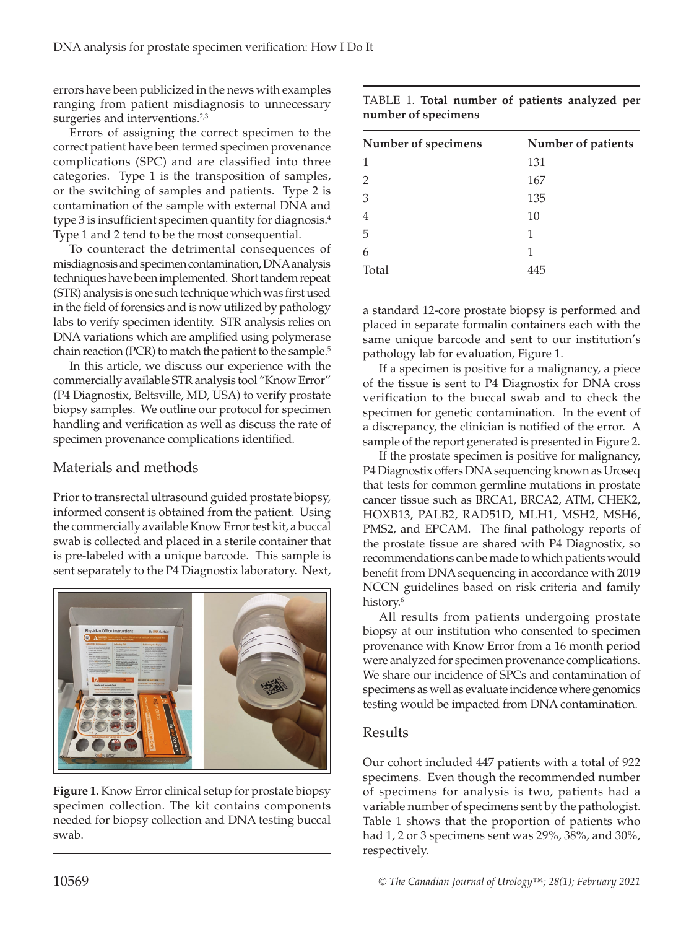errors have been publicized in the news with examples ranging from patient misdiagnosis to unnecessary surgeries and interventions.<sup>2,3</sup>

Errors of assigning the correct specimen to the correct patient have been termed specimen provenance complications (SPC) and are classified into three categories. Type 1 is the transposition of samples, or the switching of samples and patients. Type 2 is contamination of the sample with external DNA and type 3 is insufficient specimen quantity for diagnosis.<sup>4</sup> Type 1 and 2 tend to be the most consequential.

To counteract the detrimental consequences of misdiagnosis and specimen contamination, DNA analysis techniques have been implemented. Short tandem repeat (STR) analysis is one such technique which was first used in the field of forensics and is now utilized by pathology labs to verify specimen identity. STR analysis relies on DNA variations which are amplified using polymerase chain reaction (PCR) to match the patient to the sample.<sup>5</sup>

In this article, we discuss our experience with the commercially available STR analysis tool "Know Error" (P4 Diagnostix, Beltsville, MD, USA) to verify prostate biopsy samples. We outline our protocol for specimen handling and verification as well as discuss the rate of specimen provenance complications identified.

### Materials and methods

Prior to transrectal ultrasound guided prostate biopsy, informed consent is obtained from the patient. Using the commercially available Know Error test kit, a buccal swab is collected and placed in a sterile container that is pre-labeled with a unique barcode. This sample is sent separately to the P4 Diagnostix laboratory. Next,



**Figure 1.** Know Error clinical setup for prostate biopsy specimen collection. The kit contains components needed for biopsy collection and DNA testing buccal swab.

| Number of specimens | Number of patients |
|---------------------|--------------------|
| 1                   | 131                |
| 2                   | 167                |
| 3                   | 135                |
| 4                   | 10                 |
| 5                   | 1                  |
| 6                   | 1                  |
| Total               | 445                |
|                     |                    |

a standard 12-core prostate biopsy is performed and placed in separate formalin containers each with the same unique barcode and sent to our institution's pathology lab for evaluation, Figure 1.

If a specimen is positive for a malignancy, a piece of the tissue is sent to P4 Diagnostix for DNA cross verification to the buccal swab and to check the specimen for genetic contamination. In the event of a discrepancy, the clinician is notified of the error. A sample of the report generated is presented in Figure 2.

If the prostate specimen is positive for malignancy, P4 Diagnostix offers DNA sequencing known as Uroseq that tests for common germline mutations in prostate cancer tissue such as BRCA1, BRCA2, ATM, CHEK2, HOXB13, PALB2, RAD51D, MLH1, MSH2, MSH6, PMS2, and EPCAM. The final pathology reports of the prostate tissue are shared with P4 Diagnostix, so recommendations can be made to which patients would benefit from DNA sequencing in accordance with 2019 NCCN guidelines based on risk criteria and family history.<sup>6</sup>

All results from patients undergoing prostate biopsy at our institution who consented to specimen provenance with Know Error from a 16 month period were analyzed for specimen provenance complications. We share our incidence of SPCs and contamination of specimens as well as evaluate incidence where genomics testing would be impacted from DNA contamination.

#### Results

Our cohort included 447 patients with a total of 922 specimens. Even though the recommended number of specimens for analysis is two, patients had a variable number of specimens sent by the pathologist. Table 1 shows that the proportion of patients who had 1, 2 or 3 specimens sent was 29%, 38%, and 30%, respectively.

TABLE 1. **Total number of patients analyzed per number of specimens**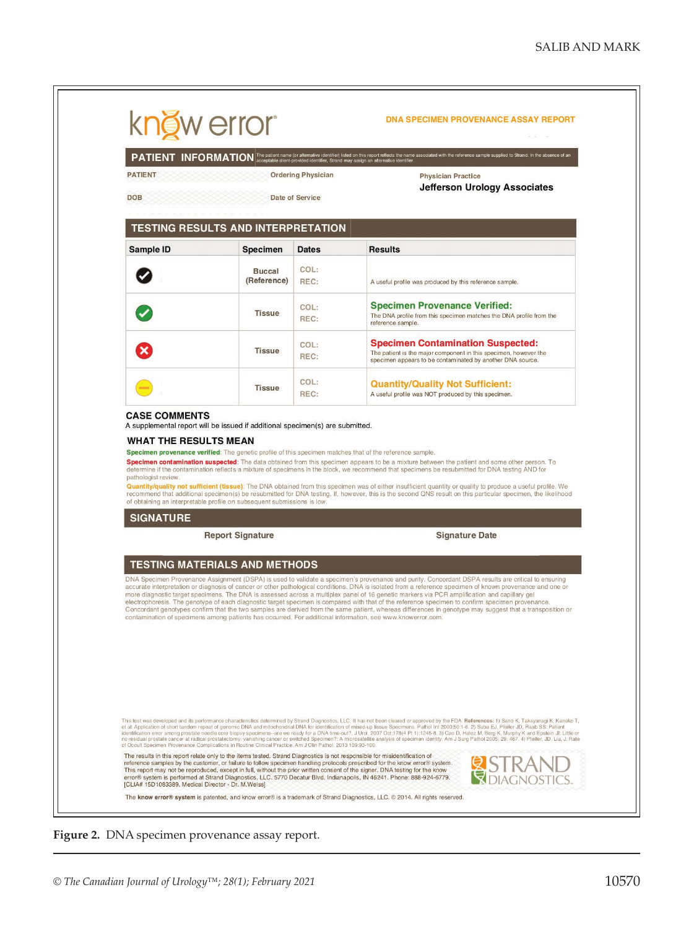

**Figure 2.** DNA specimen provenance assay report.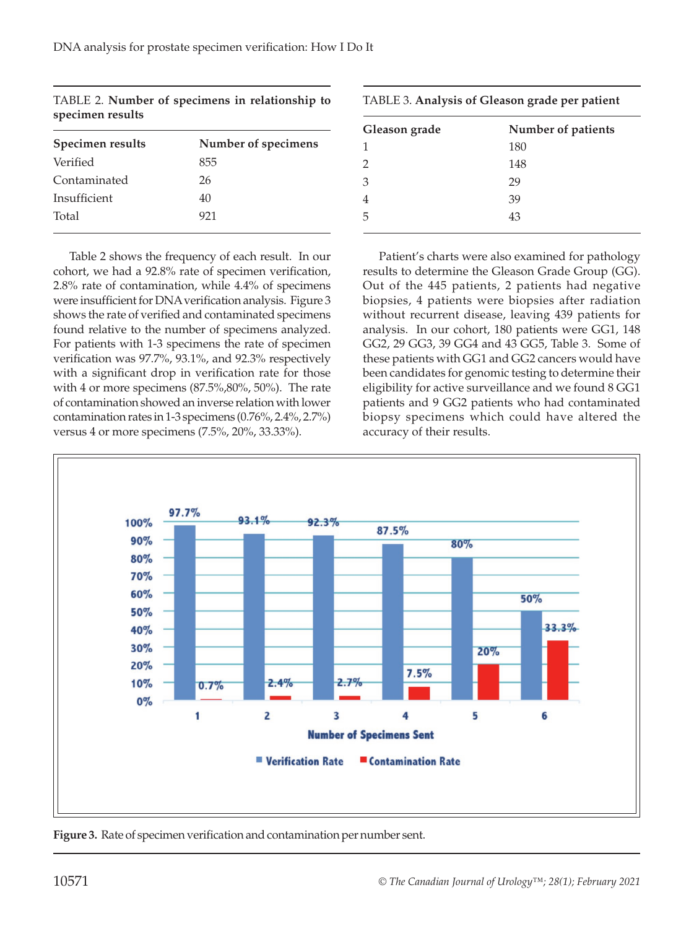| Number of specimens |
|---------------------|
| 855                 |
| 26                  |
| 40                  |
| 921                 |
|                     |

TABLE 2. **Number of specimens in relationship to specimen results** 

Table 2 shows the frequency of each result. In our cohort, we had a 92.8% rate of specimen verification, 2.8% rate of contamination, while 4.4% of specimens were insufficient for DNA verification analysis. Figure 3 shows the rate of verified and contaminated specimens found relative to the number of specimens analyzed. For patients with 1-3 specimens the rate of specimen verification was 97.7%, 93.1%, and 92.3% respectively with a significant drop in verification rate for those with 4 or more specimens (87.5%,80%, 50%). The rate of contamination showed an inverse relation with lower contamination rates in 1-3 specimens (0.76%, 2.4%, 2.7%) versus 4 or more specimens (7.5%, 20%, 33.33%).

| TABLE 3. Analysis of Gleason grade per patient |                    |
|------------------------------------------------|--------------------|
| Gleason grade                                  | Number of patients |
| $\mathbf{1}$                                   | 180                |
| $\mathfrak{D}$                                 | 148                |

3 29 4 39 5 43

Patient's charts were also examined for pathology results to determine the Gleason Grade Group (GG). Out of the 445 patients, 2 patients had negative biopsies, 4 patients were biopsies after radiation without recurrent disease, leaving 439 patients for analysis. In our cohort, 180 patients were GG1, 148 GG2, 29 GG3, 39 GG4 and 43 GG5, Table 3. Some of these patients with GG1 and GG2 cancers would have been candidates for genomic testing to determine their eligibility for active surveillance and we found 8 GG1 patients and 9 GG2 patients who had contaminated biopsy specimens which could have altered the accuracy of their results.



**Figure 3.** Rate of specimen verification and contamination per number sent.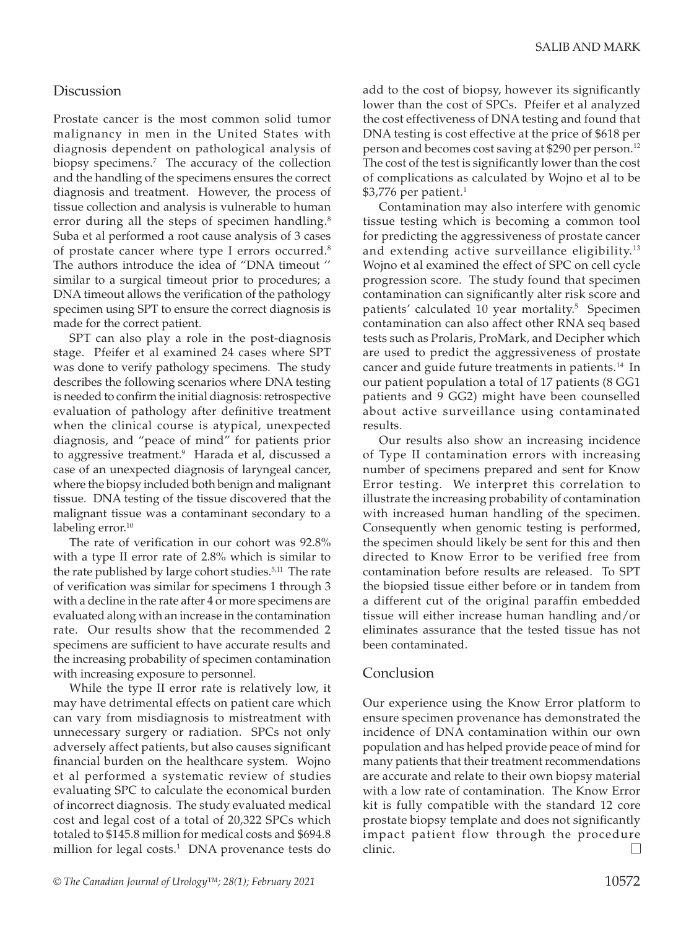#### **Discussion**

Prostate cancer is the most common solid tumor malignancy in men in the United States with diagnosis dependent on pathological analysis of biopsy specimens.<sup>7</sup> The accuracy of the collection and the handling of the specimens ensures the correct diagnosis and treatment. However, the process of tissue collection and analysis is vulnerable to human error during all the steps of specimen handling.<sup>8</sup> Suba et al performed a root cause analysis of 3 cases of prostate cancer where type I errors occurred.<sup>8</sup> The authors introduce the idea of "DNA timeout '' similar to a surgical timeout prior to procedures; a DNA timeout allows the verification of the pathology specimen using SPT to ensure the correct diagnosis is made for the correct patient.

SPT can also play a role in the post-diagnosis stage. Pfeifer et al examined 24 cases where SPT was done to verify pathology specimens. The study describes the following scenarios where DNA testing is needed to confirm the initial diagnosis: retrospective evaluation of pathology after definitive treatment when the clinical course is atypical, unexpected diagnosis, and "peace of mind" for patients prior to aggressive treatment.<sup>9</sup> Harada et al, discussed a case of an unexpected diagnosis of laryngeal cancer, where the biopsy included both benign and malignant tissue. DNA testing of the tissue discovered that the malignant tissue was a contaminant secondary to a labeling error.<sup>10</sup>

The rate of verification in our cohort was 92.8% with a type II error rate of 2.8% which is similar to the rate published by large cohort studies.<sup>5,11</sup> The rate of verification was similar for specimens 1 through 3 with a decline in the rate after 4 or more specimens are evaluated along with an increase in the contamination rate. Our results show that the recommended 2 specimens are sufficient to have accurate results and the increasing probability of specimen contamination with increasing exposure to personnel.

While the type II error rate is relatively low, it may have detrimental effects on patient care which can vary from misdiagnosis to mistreatment with unnecessary surgery or radiation. SPCs not only adversely affect patients, but also causes significant financial burden on the healthcare system. Wojno et al performed a systematic review of studies evaluating SPC to calculate the economical burden of incorrect diagnosis. The study evaluated medical cost and legal cost of a total of 20,322 SPCs which totaled to \$145.8 million for medical costs and \$694.8 million for legal costs.<sup>1</sup> DNA provenance tests do add to the cost of biopsy, however its significantly lower than the cost of SPCs. Pfeifer et al analyzed the cost effectiveness of DNA testing and found that DNA testing is cost effective at the price of \$618 per person and becomes cost saving at \$290 per person.<sup>12</sup> The cost of the test is significantly lower than the cost of complications as calculated by Wojno et al to be  $$3,776$  per patient.<sup>1</sup>

Contamination may also interfere with genomic tissue testing which is becoming a common tool for predicting the aggressiveness of prostate cancer and extending active surveillance eligibility.<sup>13</sup> Wojno et al examined the effect of SPC on cell cycle progression score. The study found that specimen contamination can significantly alter risk score and patients' calculated 10 year mortality.<sup>5</sup> Specimen contamination can also affect other RNA seq based tests such as Prolaris, ProMark, and Decipher which are used to predict the aggressiveness of prostate cancer and guide future treatments in patients.<sup>14</sup> In our patient population a total of 17 patients (8 GG1 patients and 9 GG2) might have been counselled about active surveillance using contaminated results.

Our results also show an increasing incidence of Type II contamination errors with increasing number of specimens prepared and sent for Know Error testing. We interpret this correlation to illustrate the increasing probability of contamination with increased human handling of the specimen. Consequently when genomic testing is performed, the specimen should likely be sent for this and then directed to Know Error to be verified free from contamination before results are released. To SPT the biopsied tissue either before or in tandem from a different cut of the original paraffin embedded tissue will either increase human handling and/or eliminates assurance that the tested tissue has not been contaminated.

#### Conclusion

Our experience using the Know Error platform to ensure specimen provenance has demonstrated the incidence of DNA contamination within our own population and has helped provide peace of mind for many patients that their treatment recommendations are accurate and relate to their own biopsy material with a low rate of contamination. The Know Error kit is fully compatible with the standard 12 core prostate biopsy template and does not significantly impact patient flow through the procedure clinic.  $\Box$